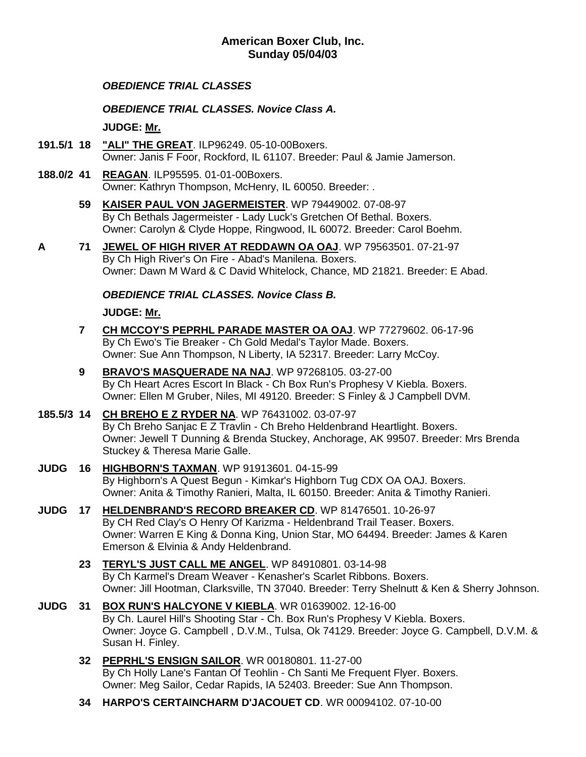#### **American Boxer Club, Inc. Sunday 05/04/03**

#### *OBEDIENCE TRIAL CLASSES*

*OBEDIENCE TRIAL CLASSES. Novice Class A.*

**JUDGE: [Mr.](http://www.infodog.com/show/judge/jdgprofile.htm?jn=)**

- **191.5/1 18 ["ALI" THE GREAT](http://www.infodog.com/my/drlookup2.htm?makc=ILP96249&mdog=%22Ali%22+The+Great&wins=all)**. ILP96249. 05-10-00Boxers. Owner: Janis F Foor, Rockford, IL 61107. Breeder: Paul & Jamie Jamerson.
- **188.0/2 41 [REAGAN](http://www.infodog.com/my/drlookup2.htm?makc=ILP95595&mdog=Reagan&wins=all)**. ILP95595. 01-01-00Boxers. Owner: Kathryn Thompson, McHenry, IL 60050. Breeder: .
	- **59 [KAISER PAUL VON JAGERMEISTER](http://www.infodog.com/my/drlookup2.htm?makc=WP%2079449002&mdog=Kaiser+Paul+Von+Jagermeister&wins=all)**. WP 79449002. 07-08-97 By Ch Bethals Jagermeister - Lady Luck's Gretchen Of Bethal. Boxers. Owner: Carolyn & Clyde Hoppe, Ringwood, IL 60072. Breeder: Carol Boehm.
- **A 71 [JEWEL OF HIGH RIVER AT REDDAWN OA OAJ](http://www.infodog.com/my/drlookup2.htm?makc=WP%2079563501&mdog=Jewel+Of+High+River+At+RedDawn+OA+OAJ&wins=all)**. WP 79563501. 07-21-97 By Ch High River's On Fire - Abad's Manilena. Boxers. Owner: Dawn M Ward & C David Whitelock, Chance, MD 21821. Breeder: E Abad.

## *OBEDIENCE TRIAL CLASSES. Novice Class B.*

**JUDGE: [Mr.](http://www.infodog.com/show/judge/jdgprofile.htm?jn=)**

- **7 [CH MCCOY'S PEPRHL PARADE MASTER OA OAJ](http://www.infodog.com/my/drlookup2.htm?makc=WP%2077279602&mdog=Ch+McCoy%27s+Peprhl+Parade+Master+OA+OAJ&wins=all)**. WP 77279602. 06-17-96 By Ch Ewo's Tie Breaker - Ch Gold Medal's Taylor Made. Boxers. Owner: Sue Ann Thompson, N Liberty, IA 52317. Breeder: Larry McCoy.
- **9 [BRAVO'S MASQUERADE NA NAJ](http://www.infodog.com/my/drlookup2.htm?makc=WP%2097268105&mdog=Bravo%27s+Masquerade+NA+NAJ&wins=all)**. WP 97268105. 03-27-00 By Ch Heart Acres Escort In Black - Ch Box Run's Prophesy V Kiebla. Boxers. Owner: Ellen M Gruber, Niles, MI 49120. Breeder: S Finley & J Campbell DVM.

## **185.5/3 14 [CH BREHO E Z RYDER NA](http://www.infodog.com/my/drlookup2.htm?makc=WP%2076431002&mdog=Ch+Breho+E+Z+Ryder+NA&wins=all)**. WP 76431002. 03-07-97

By Ch Breho Sanjac E Z Travlin - Ch Breho Heldenbrand Heartlight. Boxers. Owner: Jewell T Dunning & Brenda Stuckey, Anchorage, AK 99507. Breeder: Mrs Brenda Stuckey & Theresa Marie Galle.

- **JUDG 16 [HIGHBORN'S TAXMAN](http://www.infodog.com/my/drlookup2.htm?makc=WP%2091913601&mdog=Highborn%27s+Taxman&wins=all)**. WP 91913601. 04-15-99 By Highborn's A Quest Begun - Kimkar's Highborn Tug CDX OA OAJ. Boxers. Owner: Anita & Timothy Ranieri, Malta, IL 60150. Breeder: Anita & Timothy Ranieri.
- **JUDG 17 [HELDENBRAND'S RECORD BREAKER CD](http://www.infodog.com/my/drlookup2.htm?makc=WP%2081476501&mdog=Heldenbrand%27s+Record+Breaker+CD&wins=all)**. WP 81476501. 10-26-97 By CH Red Clay's O Henry Of Karizma - Heldenbrand Trail Teaser. Boxers. Owner: Warren E King & Donna King, Union Star, MO 64494. Breeder: James & Karen Emerson & Elvinia & Andy Heldenbrand.
	- **23 [TERYL'S JUST CALL ME ANGEL](http://www.infodog.com/my/drlookup2.htm?makc=WP%2084910801&mdog=Teryl%27s+Just+Call+Me+Angel&wins=all)**. WP 84910801. 03-14-98 By Ch Karmel's Dream Weaver - Kenasher's Scarlet Ribbons. Boxers. Owner: Jill Hootman, Clarksville, TN 37040. Breeder: Terry Shelnutt & Ken & Sherry Johnson.
- **JUDG 31 [BOX RUN'S HALCYONE V KIEBLA](http://www.infodog.com/my/drlookup2.htm?makc=WR%2001639002&mdog=Box+Run%27s+Halcyone+V+Kiebla&wins=all)**. WR 01639002. 12-16-00 By Ch. Laurel Hill's Shooting Star - Ch. Box Run's Prophesy V Kiebla. Boxers. Owner: Joyce G. Campbell , D.V.M., Tulsa, Ok 74129. Breeder: Joyce G. Campbell, D.V.M. & Susan H. Finley.
	- **32 [PEPRHL'S ENSIGN SAILOR](http://www.infodog.com/my/drlookup2.htm?makc=WR%2000180801&mdog=Peprhl%27s+Ensign+Sailor&wins=all)**. WR 00180801. 11-27-00 By Ch Holly Lane's Fantan Of Teohlin - Ch Santi Me Frequent Flyer. Boxers. Owner: Meg Sailor, Cedar Rapids, IA 52403. Breeder: Sue Ann Thompson.
	- **34 [HARPO'S CERTAINCHARM D'JACQUET CD](http://www.infodog.com/my/drlookup2.htm?makc=WR%2000094102&mdog=Harpo%27s+Certaincharm+D%27Jacquet+CD&wins=all)**. WR 00094102. 07-10-00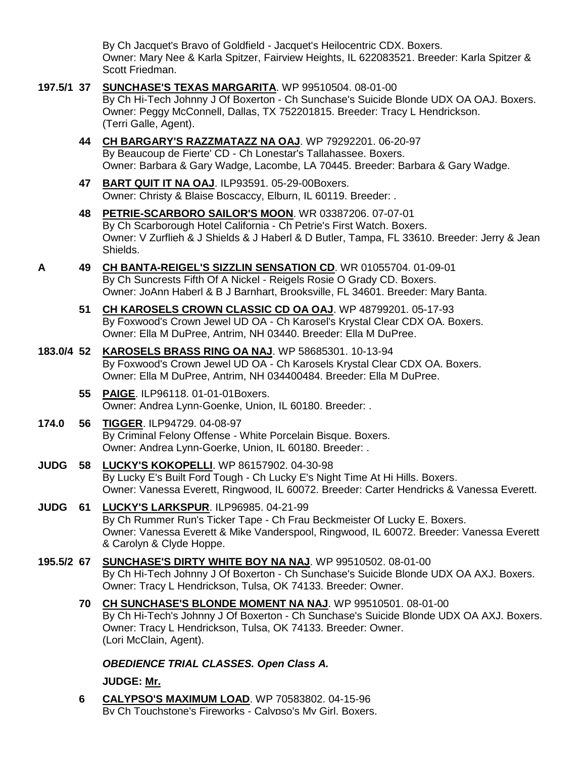By Ch Jacquet's Bravo of Goldfield - Jacquet's Heilocentric CDX. Boxers. Owner: Mary Nee & Karla Spitzer, Fairview Heights, IL 622083521. Breeder: Karla Spitzer & Scott Friedman.

- **197.5/1 37 [SUNCHASE'S TEXAS MARGARITA](http://www.infodog.com/my/drlookup2.htm?makc=WP%2099510504&mdog=Sunchase%27s+Texas+Margarita&wins=all)**. WP 99510504. 08-01-00 By Ch Hi-Tech Johnny J Of Boxerton - Ch Sunchase's Suicide Blonde UDX OA OAJ. Boxers. Owner: Peggy McConnell, Dallas, TX 752201815. Breeder: Tracy L Hendrickson. (Terri Galle, Agent). **44 [CH BARGARY'S RAZZMATAZZ NA OAJ](http://www.infodog.com/my/drlookup2.htm?makc=WP%2079292201&mdog=Ch+Bargary%27s+Razzmatazz+NA+OAJ&wins=all)**. WP 79292201. 06-20-97 By Beaucoup de Fierte' CD - Ch Lonestar's Tallahassee. Boxers. Owner: Barbara & Gary Wadge, Lacombe, LA 70445. Breeder: Barbara & Gary Wadge. **47 [BART QUIT IT NA OAJ](http://www.infodog.com/my/drlookup2.htm?makc=ILP93591&mdog=Bart+Quit+It+NA+OAJ&wins=all)**. ILP93591. 05-29-00Boxers. Owner: Christy & Blaise Boscaccy, Elburn, IL 60119. Breeder: . **48 [PETRIE-SCARBORO SAILOR'S MOON](http://www.infodog.com/my/drlookup2.htm?makc=WR%2003387206&mdog=Petrie-Scarboro+Sailor%27s+Moon&wins=all)**. WR 03387206. 07-07-01 By Ch Scarborough Hotel California - Ch Petrie's First Watch. Boxers. Owner: V Zurflieh & J Shields & J Haberl & D Butler, Tampa, FL 33610. Breeder: Jerry & Jean Shields. **A 49 [CH BANTA-REIGEL'S SIZZLIN SENSATION CD](http://www.infodog.com/my/drlookup2.htm?makc=WR%2001055704&mdog=Ch+Banta-Reigel%27s+Sizzlin+Sensation+CD&wins=all)**. WR 01055704. 01-09-01 By Ch Suncrests Fifth Of A Nickel - Reigels Rosie O Grady CD. Boxers. Owner: JoAnn Haberl & B J Barnhart, Brooksville, FL 34601. Breeder: Mary Banta. **51 [CH KAROSELS CROWN CLASSIC CD OA OAJ](http://www.infodog.com/my/drlookup2.htm?makc=WP%2048799201&mdog=Ch+Karosels+Crown+Classic+CD+OA+OAJ&wins=all)**. WP 48799201. 05-17-93 By Foxwood's Crown Jewel UD OA - Ch Karosel's Krystal Clear CDX OA. Boxers. Owner: Ella M DuPree, Antrim, NH 03440. Breeder: Ella M DuPree. **183.0/4 52 [KAROSELS BRASS RING OA NAJ](http://www.infodog.com/my/drlookup2.htm?makc=WP%2058685301&mdog=Karosels+Brass+Ring+OA+NAJ&wins=all)**. WP 58685301. 10-13-94 By Foxwood's Crown Jewel UD OA - Ch Karosels Krystal Clear CDX OA. Boxers. Owner: Ella M DuPree, Antrim, NH 034400484. Breeder: Ella M DuPree. **55 [PAIGE](http://www.infodog.com/my/drlookup2.htm?makc=ILP96118&mdog=Paige&wins=all)**. ILP96118. 01-01-01Boxers. Owner: Andrea Lynn-Goenke, Union, IL 60180. Breeder: . **174.0 56 [TIGGER](http://www.infodog.com/my/drlookup2.htm?makc=ILP94729&mdog=Tigger&wins=all)**. ILP94729. 04-08-97 By Criminal Felony Offense - White Porcelain Bisque. Boxers. Owner: Andrea Lynn-Goerke, Union, IL 60180. Breeder: . **JUDG 58 [LUCKY'S KOKOPELLI](http://www.infodog.com/my/drlookup2.htm?makc=WP%2086157902&mdog=Lucky%27s+Kokopelli&wins=all)**. WP 86157902. 04-30-98 By Lucky E's Built Ford Tough - Ch Lucky E's Night Time At Hi Hills. Boxers. Owner: Vanessa Everett, Ringwood, IL 60072. Breeder: Carter Hendricks & Vanessa Everett. **JUDG 61 [LUCKY'S LARKSPUR](http://www.infodog.com/my/drlookup2.htm?makc=ILP96985&mdog=Lucky%27s+Larkspur&wins=all)**. ILP96985. 04-21-99 By Ch Rummer Run's Ticker Tape - Ch Frau Beckmeister Of Lucky E. Boxers. Owner: Vanessa Everett & Mike Vanderspool, Ringwood, IL 60072. Breeder: Vanessa Everett & Carolyn & Clyde Hoppe. **195.5/2 67 [SUNCHASE'S DIRTY WHITE BOY NA NAJ](http://www.infodog.com/my/drlookup2.htm?makc=WP%2099510502&mdog=Sunchase%27s+Dirty+White+Boy+NA+NAJ&wins=all)**. WP 99510502. 08-01-00 By Ch Hi-Tech Johnny J Of Boxerton - Ch Sunchase's Suicide Blonde UDX OA AXJ. Boxers. Owner: Tracy L Hendrickson, Tulsa, OK 74133. Breeder: Owner. **70 [CH SUNCHASE'S BLONDE MOMENT NA NAJ](http://www.infodog.com/my/drlookup2.htm?makc=WP%2099510501&mdog=Ch+Sunchase%27s+Blonde+Moment+NA+NAJ&wins=all)**. WP 99510501. 08-01-00 By Ch Hi-Tech's Johnny J Of Boxerton - Ch Sunchase's Suicide Blonde UDX OA AXJ. Boxers. Owner: Tracy L Hendrickson, Tulsa, OK 74133. Breeder: Owner. (Lori McClain, Agent). *OBEDIENCE TRIAL CLASSES. Open Class A.* **JUDGE: [Mr.](http://www.infodog.com/show/judge/jdgprofile.htm?jn=)**
	- **6 [CALYPSO'S MAXIMUM LOAD](http://www.infodog.com/my/drlookup2.htm?makc=WP%2070583802&mdog=Calypso%27s+Maximum+Load&wins=all)**. WP 70583802. 04-15-96 By Ch Touchstone's Fireworks - Calypso's My Girl. Boxers.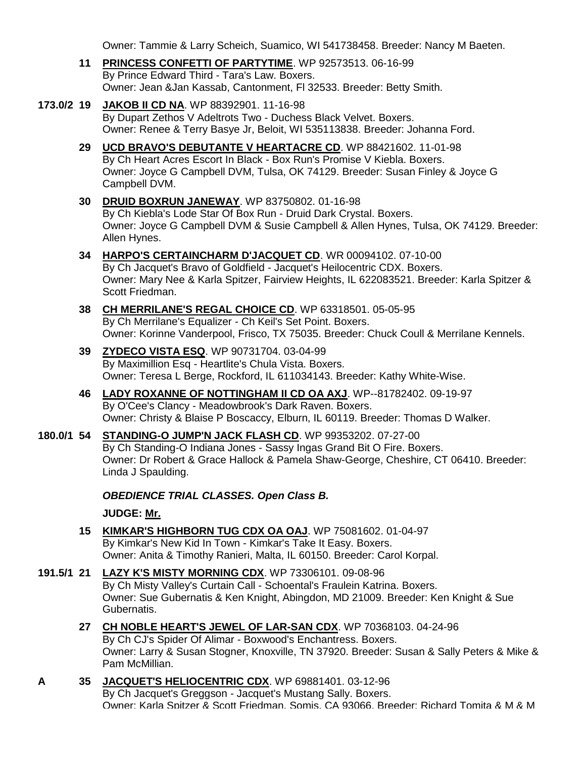Owner: Tammie & Larry Scheich, Suamico, WI 541738458. Breeder: Nancy M Baeten.

- **11 [PRINCESS CONFETTI OF PARTYTIME](http://www.infodog.com/my/drlookup2.htm?makc=WP%2092573513&mdog=Princess+Confetti+Of+Partytime&wins=all)**. WP 92573513. 06-16-99 By Prince Edward Third - Tara's Law. Boxers. Owner: Jean &Jan Kassab, Cantonment, Fl 32533. Breeder: Betty Smith.
- **173.0/2 19 [JAKOB II CD NA](http://www.infodog.com/my/drlookup2.htm?makc=WP%2088392901&mdog=Jakob+II+CD+NA&wins=all)**. WP 88392901. 11-16-98 By Dupart Zethos V Adeltrots Two - Duchess Black Velvet. Boxers. Owner: Renee & Terry Basye Jr, Beloit, WI 535113838. Breeder: Johanna Ford.
	- **29 [UCD BRAVO'S DEBUTANTE V HEARTACRE CD](http://www.infodog.com/my/drlookup2.htm?makc=WP%2088421602&mdog=+UCD+Bravo%27s+Debutante+V+Heartacre+CD&wins=all)**. WP 88421602. 11-01-98 By Ch Heart Acres Escort In Black - Box Run's Promise V Kiebla. Boxers. Owner: Joyce G Campbell DVM, Tulsa, OK 74129. Breeder: Susan Finley & Joyce G Campbell DVM.
	- **30 [DRUID BOXRUN JANEWAY](http://www.infodog.com/my/drlookup2.htm?makc=WP%2083750802&mdog=Druid+BoxRun+Janeway&wins=all)**. WP 83750802. 01-16-98 By Ch Kiebla's Lode Star Of Box Run - Druid Dark Crystal. Boxers. Owner: Joyce G Campbell DVM & Susie Campbell & Allen Hynes, Tulsa, OK 74129. Breeder: Allen Hynes.
	- **34 [HARPO'S CERTAINCHARM D'JACQUET CD](http://www.infodog.com/my/drlookup2.htm?makc=WR%2000094102&mdog=Harpo%27s+Certaincharm+D%27Jacquet+CD&wins=all)**. WR 00094102. 07-10-00 By Ch Jacquet's Bravo of Goldfield - Jacquet's Heilocentric CDX. Boxers. Owner: Mary Nee & Karla Spitzer, Fairview Heights, IL 622083521. Breeder: Karla Spitzer & Scott Friedman.
	- **38 [CH MERRILANE'S REGAL CHOICE CD](http://www.infodog.com/my/drlookup2.htm?makc=WP%2063318501&mdog=Ch+Merrilane%27s+Regal+Choice+CD&wins=all)**. WP 63318501. 05-05-95 By Ch Merrilane's Equalizer - Ch Keil's Set Point. Boxers. Owner: Korinne Vanderpool, Frisco, TX 75035. Breeder: Chuck Coull & Merrilane Kennels.
	- **39 [ZYDECO VISTA ESQ](http://www.infodog.com/my/drlookup2.htm?makc=WP%2090731704&mdog=Zydeco+Vista+Esq&wins=all)**. WP 90731704. 03-04-99 By Maximillion Esq - Heartlite's Chula Vista. Boxers. Owner: Teresa L Berge, Rockford, IL 611034143. Breeder: Kathy White-Wise.
	- **46 [LADY ROXANNE OF NOTTINGHAM II CD OA AXJ](http://www.infodog.com/my/drlookup2.htm?makc=WP--81782402&mdog=Lady+Roxanne+Of+Nottingham+II+CD+OA+AXJ&wins=all)**. WP--81782402. 09-19-97 By O'Cee's Clancy - Meadowbrook's Dark Raven. Boxers. Owner: Christy & Blaise P Boscaccy, Elburn, IL 60119. Breeder: Thomas D Walker.
- **180.0/1 54 [STANDING-O JUMP'N JACK FLASH CD](http://www.infodog.com/my/drlookup2.htm?makc=WP%2099353202&mdog=Standing-O+Jump%27N+Jack+Flash+CD&wins=all)**. WP 99353202. 07-27-00 By Ch Standing-O Indiana Jones - Sassy Ingas Grand Bit O Fire. Boxers. Owner: Dr Robert & Grace Hallock & Pamela Shaw-George, Cheshire, CT 06410. Breeder: Linda J Spaulding.

*OBEDIENCE TRIAL CLASSES. Open Class B.*

**JUDGE: [Mr.](http://www.infodog.com/show/judge/jdgprofile.htm?jn=)**

- **15 [KIMKAR'S HIGHBORN TUG CDX OA OAJ](http://www.infodog.com/my/drlookup2.htm?makc=WP%2075081602&mdog=Kimkar%27s+Highborn+Tug+CDX+OA+OAJ&wins=all)**. WP 75081602. 01-04-97 By Kimkar's New Kid In Town - Kimkar's Take It Easy. Boxers. Owner: Anita & Timothy Ranieri, Malta, IL 60150. Breeder: Carol Korpal.
- **191.5/1 21 [LAZY K'S MISTY MORNING CDX](http://www.infodog.com/my/drlookup2.htm?makc=WP%2073306101&mdog=Lazy+K%27s+Misty+Morning+CDX&wins=all)**. WP 73306101. 09-08-96 By Ch Misty Valley's Curtain Call - Schoental's Fraulein Katrina. Boxers. Owner: Sue Gubernatis & Ken Knight, Abingdon, MD 21009. Breeder: Ken Knight & Sue Gubernatis.
	- **27 [CH NOBLE HEART'S JEWEL OF LAR-SAN CDX](http://www.infodog.com/my/drlookup2.htm?makc=WP%2070368103&mdog=Ch+Noble+Heart%27s+Jewel+Of+Lar-San+CDX&wins=all)**. WP 70368103. 04-24-96 By Ch CJ's Spider Of Alimar - Boxwood's Enchantress. Boxers. Owner: Larry & Susan Stogner, Knoxville, TN 37920. Breeder: Susan & Sally Peters & Mike & Pam McMillian.
- **A 35 [JACQUET'S HELIOCENTRIC CDX](http://www.infodog.com/my/drlookup2.htm?makc=WP%2069881401&mdog=Jacquet%27s+Heliocentric+CDX&wins=all)**. WP 69881401. 03-12-96 By Ch Jacquet's Greggson - Jacquet's Mustang Sally. Boxers. Owner: Karla Spitzer & Scott Friedman, Somis, CA 93066. Breeder: Richard Tomita & M & M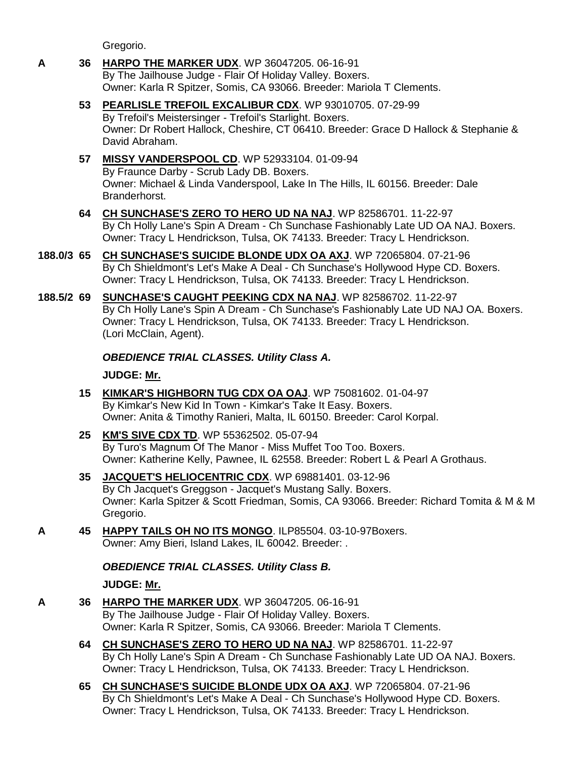# Gregorio. **A 36 [HARPO THE MARKER UDX](http://www.infodog.com/my/drlookup2.htm?makc=WP%2036047205&mdog=Harpo+The+Marker+UDX&wins=all)**. WP 36047205. 06-16-91 By The Jailhouse Judge - Flair Of Holiday Valley. Boxers. Owner: Karla R Spitzer, Somis, CA 93066. Breeder: Mariola T Clements. **53 [PEARLISLE TREFOIL EXCALIBUR CDX](http://www.infodog.com/my/drlookup2.htm?makc=WP%2093010705&mdog=Pearlisle+Trefoil+Excalibur+CDX&wins=all)**. WP 93010705. 07-29-99 By Trefoil's Meistersinger - Trefoil's Starlight. Boxers. Owner: Dr Robert Hallock, Cheshire, CT 06410. Breeder: Grace D Hallock & Stephanie & David Abraham. **57 [MISSY VANDERSPOOL CD](http://www.infodog.com/my/drlookup2.htm?makc=WP%2052933104&mdog=Missy+Vanderspool+CD&wins=all)**. WP 52933104. 01-09-94 By Fraunce Darby - Scrub Lady DB. Boxers. Owner: Michael & Linda Vanderspool, Lake In The Hills, IL 60156. Breeder: Dale Branderhorst. **64 [CH SUNCHASE'S ZERO TO HERO UD NA NAJ](http://www.infodog.com/my/drlookup2.htm?makc=WP%2082586701&mdog=Ch+Sunchase%27s+Zero+To+Hero+UD+NA+NAJ&wins=all)**. WP 82586701. 11-22-97 By Ch Holly Lane's Spin A Dream - Ch Sunchase Fashionably Late UD OA NAJ. Boxers. Owner: Tracy L Hendrickson, Tulsa, OK 74133. Breeder: Tracy L Hendrickson. **188.0/3 65 [CH SUNCHASE'S SUICIDE BLONDE UDX OA AXJ](http://www.infodog.com/my/drlookup2.htm?makc=WP%2072065804&mdog=Ch+Sunchase%27s+Suicide+Blonde+UDX+OA+AXJ&wins=all)**. WP 72065804. 07-21-96 By Ch Shieldmont's Let's Make A Deal - Ch Sunchase's Hollywood Hype CD. Boxers. Owner: Tracy L Hendrickson, Tulsa, OK 74133. Breeder: Tracy L Hendrickson. **188.5/2 69 [SUNCHASE'S CAUGHT PEEKING CDX NA NAJ](http://www.infodog.com/my/drlookup2.htm?makc=WP%2082586702&mdog=Sunchase%27s+Caught+Peeking+CDX+NA+NAJ&wins=all)**. WP 82586702. 11-22-97 By Ch Holly Lane's Spin A Dream - Ch Sunchase's Fashionably Late UD NAJ OA. Boxers. Owner: Tracy L Hendrickson, Tulsa, OK 74133. Breeder: Tracy L Hendrickson. (Lori McClain, Agent). *OBEDIENCE TRIAL CLASSES. Utility Class A.* **JUDGE: [Mr.](http://www.infodog.com/show/judge/jdgprofile.htm?jn=) 15 [KIMKAR'S HIGHBORN TUG CDX OA OAJ](http://www.infodog.com/my/drlookup2.htm?makc=WP%2075081602&mdog=Kimkar%27s+Highborn+Tug+CDX+OA+OAJ&wins=all)**. WP 75081602. 01-04-97 By Kimkar's New Kid In Town - Kimkar's Take It Easy. Boxers. Owner: Anita & Timothy Ranieri, Malta, IL 60150. Breeder: Carol Korpal. **25 [KM'S SIVE CDX TD](http://www.infodog.com/my/drlookup2.htm?makc=WP%2055362502&mdog=KM%27s+Sive+CDX+TD&wins=all)**. WP 55362502. 05-07-94 By Turo's Magnum Of The Manor - Miss Muffet Too Too. Boxers. Owner: Katherine Kelly, Pawnee, IL 62558. Breeder: Robert L & Pearl A Grothaus. **35 [JACQUET'S HELIOCENTRIC CDX](http://www.infodog.com/my/drlookup2.htm?makc=WP%2069881401&mdog=Jacquet%27s+Heliocentric+CDX&wins=all)**. WP 69881401. 03-12-96 By Ch Jacquet's Greggson - Jacquet's Mustang Sally. Boxers. Owner: Karla Spitzer & Scott Friedman, Somis, CA 93066. Breeder: Richard Tomita & M & M Gregorio. **A 45 [HAPPY TAILS OH NO ITS MONGO](http://www.infodog.com/my/drlookup2.htm?makc=ILP85504&mdog=Happy+Tails+Oh+No+Its+Mongo&wins=all)**. ILP85504. 03-10-97Boxers. Owner: Amy Bieri, Island Lakes, IL 60042. Breeder: . *OBEDIENCE TRIAL CLASSES. Utility Class B.* **JUDGE: [Mr.](http://www.infodog.com/show/judge/jdgprofile.htm?jn=) A 36 [HARPO THE MARKER UDX](http://www.infodog.com/my/drlookup2.htm?makc=WP%2036047205&mdog=Harpo+The+Marker+UDX&wins=all)**. WP 36047205. 06-16-91 By The Jailhouse Judge - Flair Of Holiday Valley. Boxers. Owner: Karla R Spitzer, Somis, CA 93066. Breeder: Mariola T Clements. **64 [CH SUNCHASE'S ZERO TO HERO UD NA NAJ](http://www.infodog.com/my/drlookup2.htm?makc=WP%2082586701&mdog=Ch+Sunchase%27s+Zero+To+Hero+UD+NA+NAJ&wins=all)**. WP 82586701. 11-22-97 By Ch Holly Lane's Spin A Dream - Ch Sunchase Fashionably Late UD OA NAJ. Boxers. Owner: Tracy L Hendrickson, Tulsa, OK 74133. Breeder: Tracy L Hendrickson. **65 [CH SUNCHASE'S SUICIDE BLONDE UDX OA AXJ](http://www.infodog.com/my/drlookup2.htm?makc=WP%2072065804&mdog=Ch+Sunchase%27s+Suicide+Blonde+UDX+OA+AXJ&wins=all)**. WP 72065804. 07-21-96 By Ch Shieldmont's Let's Make A Deal - Ch Sunchase's Hollywood Hype CD. Boxers.

Owner: Tracy L Hendrickson, Tulsa, OK 74133. Breeder: Tracy L Hendrickson.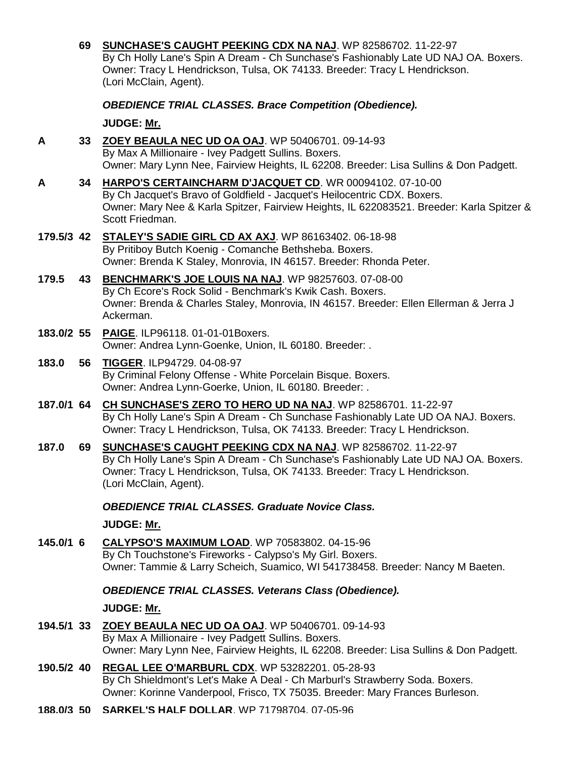|            | 69 | SUNCHASE'S CAUGHT PEEKING CDX NA NAJ. WP 82586702. 11-22-97<br>By Ch Holly Lane's Spin A Dream - Ch Sunchase's Fashionably Late UD NAJ OA. Boxers.<br>Owner: Tracy L Hendrickson, Tulsa, OK 74133. Breeder: Tracy L Hendrickson.<br>(Lori McClain, Agent).        |
|------------|----|-------------------------------------------------------------------------------------------------------------------------------------------------------------------------------------------------------------------------------------------------------------------|
|            |    | <b>OBEDIENCE TRIAL CLASSES. Brace Competition (Obedience).</b>                                                                                                                                                                                                    |
|            |    | JUDGE: Mr.                                                                                                                                                                                                                                                        |
| A          |    | 33 ZOEY BEAULA NEC UD OA OAJ. WP 50406701. 09-14-93<br>By Max A Millionaire - Ivey Padgett Sullins. Boxers.<br>Owner: Mary Lynn Nee, Fairview Heights, IL 62208. Breeder: Lisa Sullins & Don Padgett.                                                             |
| A          |    | 34 HARPO'S CERTAINCHARM D'JACQUET CD. WR 00094102. 07-10-00<br>By Ch Jacquet's Bravo of Goldfield - Jacquet's Heilocentric CDX. Boxers.<br>Owner: Mary Nee & Karla Spitzer, Fairview Heights, IL 622083521. Breeder: Karla Spitzer &<br>Scott Friedman.           |
| 179.5/3 42 |    | STALEY'S SADIE GIRL CD AX AXJ. WP 86163402. 06-18-98<br>By Pritiboy Butch Koenig - Comanche Bethsheba. Boxers.<br>Owner: Brenda K Staley, Monrovia, IN 46157. Breeder: Rhonda Peter.                                                                              |
| 179.5      |    | 43 BENCHMARK'S JOE LOUIS NA NAJ. WP 98257603. 07-08-00<br>By Ch Ecore's Rock Solid - Benchmark's Kwik Cash. Boxers.<br>Owner: Brenda & Charles Staley, Monrovia, IN 46157. Breeder: Ellen Ellerman & Jerra J<br>Ackerman.                                         |
| 183.0/2 55 |    | PAIGE. ILP96118. 01-01-01Boxers.<br>Owner: Andrea Lynn-Goenke, Union, IL 60180. Breeder: .                                                                                                                                                                        |
| 183.0      | 56 | TIGGER. ILP94729. 04-08-97<br>By Criminal Felony Offense - White Porcelain Bisque. Boxers.<br>Owner: Andrea Lynn-Goerke, Union, IL 60180. Breeder: .                                                                                                              |
|            |    | 187.0/1 64 CH SUNCHASE'S ZERO TO HERO UD NA NAJ. WP 82586701. 11-22-97<br>By Ch Holly Lane's Spin A Dream - Ch Sunchase Fashionably Late UD OA NAJ. Boxers.<br>Owner: Tracy L Hendrickson, Tulsa, OK 74133. Breeder: Tracy L Hendrickson.                         |
| 187.0      | 69 | <b>SUNCHASE'S CAUGHT PEEKING CDX NA NAJ. WP 82586702. 11-22-97</b><br>By Ch Holly Lane's Spin A Dream - Ch Sunchase's Fashionably Late UD NAJ OA. Boxers.<br>Owner: Tracy L Hendrickson, Tulsa, OK 74133. Breeder: Tracy L Hendrickson.<br>(Lori McClain, Agent). |
|            |    | <b>OBEDIENCE TRIAL CLASSES. Graduate Novice Class.</b>                                                                                                                                                                                                            |
|            |    | JUDGE: Mr.                                                                                                                                                                                                                                                        |
| 145.0/1 6  |    | <b>CALYPSO'S MAXIMUM LOAD. WP 70583802. 04-15-96</b><br>By Ch Touchstone's Fireworks - Calypso's My Girl. Boxers.<br>Owner: Tammie & Larry Scheich, Suamico, WI 541738458. Breeder: Nancy M Baeten.                                                               |
|            |    | <b>OBEDIENCE TRIAL CLASSES. Veterans Class (Obedience).</b>                                                                                                                                                                                                       |
|            |    | JUDGE: Mr.                                                                                                                                                                                                                                                        |
| 194.5/1 33 |    | ZOEY BEAULA NEC UD OA OAJ. WP 50406701. 09-14-93<br>By Max A Millionaire - Ivey Padgett Sullins. Boxers.<br>Owner: Mary Lynn Nee, Fairview Heights, IL 62208. Breeder: Lisa Sullins & Don Padgett.                                                                |
| 190.5/2 40 |    | <b>REGAL LEE O'MARBURL CDX.</b> WP 53282201. 05-28-93<br>By Ch Shieldmont's Let's Make A Deal - Ch Marburl's Strawberry Soda. Boxers.                                                                                                                             |

Owner: Korinne Vanderpool, Frisco, TX 75035. Breeder: Mary Frances Burleson.

**188.0/3 50 [SARKEL'S HALF DOLLAR](http://www.infodog.com/my/drlookup2.htm?makc=WP%2071798704&mdog=Sarkel%27s+Half+Dollar&wins=all)**. WP 71798704. 07-05-96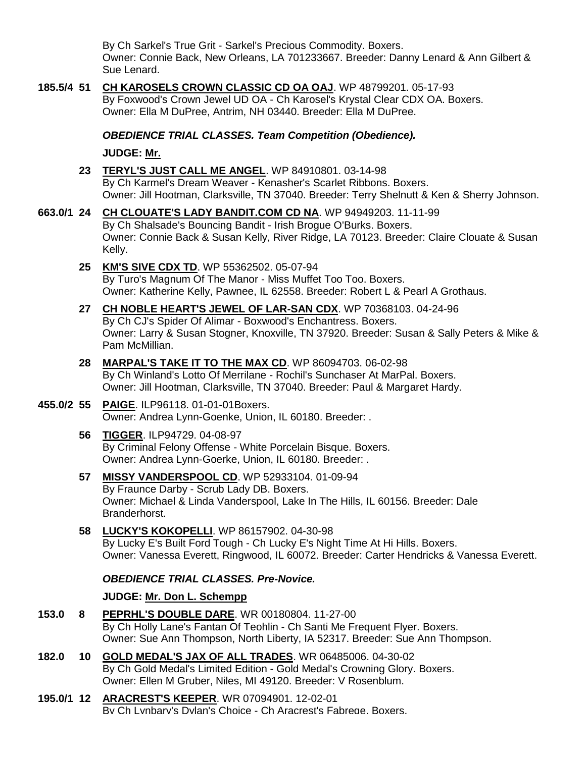By Ch Sarkel's True Grit - Sarkel's Precious Commodity. Boxers. Owner: Connie Back, New Orleans, LA 701233667. Breeder: Danny Lenard & Ann Gilbert & Sue Lenard.

**185.5/4 51 [CH KAROSELS CROWN CLASSIC CD OA OAJ](http://www.infodog.com/my/drlookup2.htm?makc=WP%2048799201&mdog=Ch+Karosels+Crown+Classic+CD+OA+OAJ&wins=all)**. WP 48799201. 05-17-93 By Foxwood's Crown Jewel UD OA - Ch Karosel's Krystal Clear CDX OA. Boxers. Owner: Ella M DuPree, Antrim, NH 03440. Breeder: Ella M DuPree.

*OBEDIENCE TRIAL CLASSES. Team Competition (Obedience).*

**JUDGE: [Mr.](http://www.infodog.com/show/judge/jdgprofile.htm?jn=)**

- **23 [TERYL'S JUST CALL ME ANGEL](http://www.infodog.com/my/drlookup2.htm?makc=WP%2084910801&mdog=Teryl%27s+Just+Call+Me+Angel&wins=all)**. WP 84910801. 03-14-98 By Ch Karmel's Dream Weaver - Kenasher's Scarlet Ribbons. Boxers. Owner: Jill Hootman, Clarksville, TN 37040. Breeder: Terry Shelnutt & Ken & Sherry Johnson.
- **663.0/1 24 [CH CLOUATE'S LADY BANDIT.COM CD NA](http://www.infodog.com/my/drlookup2.htm?makc=WP%2094949203&mdog=Ch+Clouate%27s+Lady+Bandit.Com+CD+NA&wins=all)**. WP 94949203. 11-11-99 By Ch Shalsade's Bouncing Bandit - Irish Brogue O'Burks. Boxers. Owner: Connie Back & Susan Kelly, River Ridge, LA 70123. Breeder: Claire Clouate & Susan Kelly.
	- **25 [KM'S SIVE CDX TD](http://www.infodog.com/my/drlookup2.htm?makc=WP%2055362502&mdog=KM%27s+Sive+CDX+TD&wins=all)**. WP 55362502. 05-07-94 By Turo's Magnum Of The Manor - Miss Muffet Too Too. Boxers. Owner: Katherine Kelly, Pawnee, IL 62558. Breeder: Robert L & Pearl A Grothaus.
	- **27 [CH NOBLE HEART'S JEWEL OF LAR-SAN CDX](http://www.infodog.com/my/drlookup2.htm?makc=WP%2070368103&mdog=Ch+Noble+Heart%27s+Jewel+Of+Lar-San+CDX&wins=all)**. WP 70368103. 04-24-96 By Ch CJ's Spider Of Alimar - Boxwood's Enchantress. Boxers. Owner: Larry & Susan Stogner, Knoxville, TN 37920. Breeder: Susan & Sally Peters & Mike & Pam McMillian.
	- **28 [MARPAL'S TAKE IT TO THE MAX CD](http://www.infodog.com/my/drlookup2.htm?makc=WP%2086094703&mdog=MarPal%27s+Take+It+To+The+Max+CD&wins=all)**. WP 86094703. 06-02-98 By Ch Winland's Lotto Of Merrilane - Rochil's Sunchaser At MarPal. Boxers. Owner: Jill Hootman, Clarksville, TN 37040. Breeder: Paul & Margaret Hardy.
- **455.0/2 55 [PAIGE](http://www.infodog.com/my/drlookup2.htm?makc=ILP96118&mdog=Paige&wins=all)**. ILP96118. 01-01-01Boxers. Owner: Andrea Lynn-Goenke, Union, IL 60180. Breeder: .
	- **56 [TIGGER](http://www.infodog.com/my/drlookup2.htm?makc=ILP94729&mdog=Tigger&wins=all)**. ILP94729. 04-08-97 By Criminal Felony Offense - White Porcelain Bisque. Boxers. Owner: Andrea Lynn-Goerke, Union, IL 60180. Breeder: .
	- **57 [MISSY VANDERSPOOL CD](http://www.infodog.com/my/drlookup2.htm?makc=WP%2052933104&mdog=Missy+Vanderspool+CD&wins=all)**. WP 52933104. 01-09-94 By Fraunce Darby - Scrub Lady DB. Boxers. Owner: Michael & Linda Vanderspool, Lake In The Hills, IL 60156. Breeder: Dale Branderhorst.
	- **58 [LUCKY'S KOKOPELLI](http://www.infodog.com/my/drlookup2.htm?makc=WP%2086157902&mdog=Lucky%27s+Kokopelli&wins=all)**. WP 86157902. 04-30-98 By Lucky E's Built Ford Tough - Ch Lucky E's Night Time At Hi Hills. Boxers. Owner: Vanessa Everett, Ringwood, IL 60072. Breeder: Carter Hendricks & Vanessa Everett.

## *OBEDIENCE TRIAL CLASSES. Pre-Novice.*

## **JUDGE: [Mr. Don L. Schempp](http://www.infodog.com/show/judge/jdgprofile.htm?jn=4865)**

- **153.0 8 [PEPRHL'S DOUBLE DARE](http://www.infodog.com/my/drlookup2.htm?makc=WR%2000180804&mdog=Peprhl%27s+Double+Dare&wins=all)**. WR 00180804. 11-27-00 By Ch Holly Lane's Fantan Of Teohlin - Ch Santi Me Frequent Flyer. Boxers. Owner: Sue Ann Thompson, North Liberty, IA 52317. Breeder: Sue Ann Thompson.
- **182.0 10 [GOLD MEDAL'S JAX OF ALL TRADES](http://www.infodog.com/my/drlookup2.htm?makc=WR%2006485006&mdog=Gold+Medal%27s+Jax+Of+All+Trades&wins=all)**. WR 06485006. 04-30-02 By Ch Gold Medal's Limited Edition - Gold Medal's Crowning Glory. Boxers. Owner: Ellen M Gruber, Niles, MI 49120. Breeder: V Rosenblum.
- **195.0/1 12 [ARACREST'S KEEPER](http://www.infodog.com/my/drlookup2.htm?makc=WR%2007094901&mdog=Aracrest%27s+Keeper&wins=all)**. WR 07094901. 12-02-01 By Ch Lynbary's Dylan's Choice - Ch Aracrest's Fabrege. Boxers.